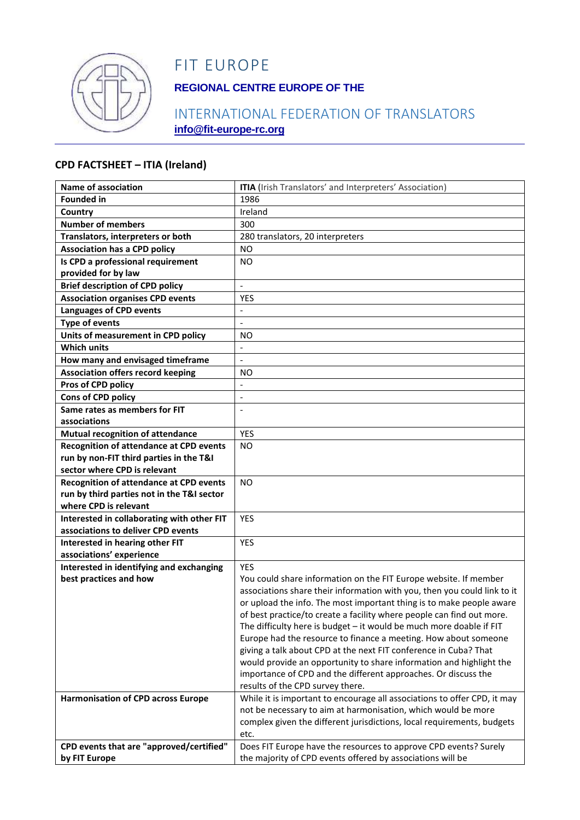

# FIT EUROPE

## **REGIONAL CENTRE EUROPE OF THE**

## INTERNATIONAL FEDERATION OF TRANSLATORS **info@fit-europe-rc.org**

#### **CPD FACTSHEET – ITIA (Ireland)**

| <b>Name of association</b>                     | <b>ITIA</b> (Irish Translators' and Interpreters' Association)                                                                          |
|------------------------------------------------|-----------------------------------------------------------------------------------------------------------------------------------------|
| <b>Founded in</b>                              | 1986                                                                                                                                    |
| Country                                        | Ireland                                                                                                                                 |
| <b>Number of members</b>                       | 300                                                                                                                                     |
| Translators, interpreters or both              | 280 translators, 20 interpreters                                                                                                        |
| <b>Association has a CPD policy</b>            | <b>NO</b>                                                                                                                               |
| Is CPD a professional requirement              | N <sub>O</sub>                                                                                                                          |
| provided for by law                            |                                                                                                                                         |
| <b>Brief description of CPD policy</b>         | $\overline{\phantom{a}}$                                                                                                                |
| <b>Association organises CPD events</b>        | <b>YES</b>                                                                                                                              |
| <b>Languages of CPD events</b>                 | $\overline{a}$                                                                                                                          |
| <b>Type of events</b>                          | $\frac{1}{2}$                                                                                                                           |
| Units of measurement in CPD policy             | NO.                                                                                                                                     |
| <b>Which units</b>                             |                                                                                                                                         |
| How many and envisaged timeframe               | $\blacksquare$                                                                                                                          |
| <b>Association offers record keeping</b>       | ΝO                                                                                                                                      |
| Pros of CPD policy                             | $\overline{a}$                                                                                                                          |
| Cons of CPD policy                             | $\blacksquare$                                                                                                                          |
| Same rates as members for FIT                  |                                                                                                                                         |
| associations                                   |                                                                                                                                         |
| Mutual recognition of attendance               | <b>YES</b>                                                                                                                              |
| <b>Recognition of attendance at CPD events</b> | NO.                                                                                                                                     |
| run by non-FIT third parties in the T&I        |                                                                                                                                         |
| sector where CPD is relevant                   |                                                                                                                                         |
| <b>Recognition of attendance at CPD events</b> | <b>NO</b>                                                                                                                               |
| run by third parties not in the T&I sector     |                                                                                                                                         |
| where CPD is relevant                          |                                                                                                                                         |
| Interested in collaborating with other FIT     | <b>YES</b>                                                                                                                              |
| associations to deliver CPD events             |                                                                                                                                         |
| Interested in hearing other FIT                | <b>YES</b>                                                                                                                              |
| associations' experience                       |                                                                                                                                         |
| Interested in identifying and exchanging       | <b>YES</b>                                                                                                                              |
| best practices and how                         | You could share information on the FIT Europe website. If member                                                                        |
|                                                | associations share their information with you, then you could link to it                                                                |
|                                                | or upload the info. The most important thing is to make people aware                                                                    |
|                                                | of best practice/to create a facility where people can find out more.                                                                   |
|                                                | The difficulty here is budget - it would be much more doable if FIT                                                                     |
|                                                | Europe had the resource to finance a meeting. How about someone                                                                         |
|                                                | giving a talk about CPD at the next FIT conference in Cuba? That<br>would provide an opportunity to share information and highlight the |
|                                                | importance of CPD and the different approaches. Or discuss the                                                                          |
|                                                | results of the CPD survey there.                                                                                                        |
| <b>Harmonisation of CPD across Europe</b>      | While it is important to encourage all associations to offer CPD, it may                                                                |
|                                                | not be necessary to aim at harmonisation, which would be more                                                                           |
|                                                | complex given the different jurisdictions, local requirements, budgets                                                                  |
|                                                | etc.                                                                                                                                    |
| CPD events that are "approved/certified"       | Does FIT Europe have the resources to approve CPD events? Surely                                                                        |
| by FIT Europe                                  | the majority of CPD events offered by associations will be                                                                              |
|                                                |                                                                                                                                         |